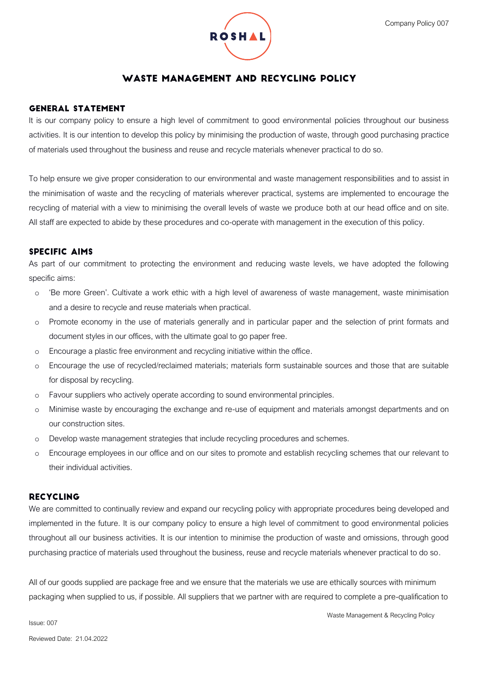

# WASTE MANAGEMENT AND RECYCLING POLICY

### **GENERAL STATEMENT**

It is our company policy to ensure a high level of commitment to good environmental policies throughout our business activities. It is our intention to develop this policy by minimising the production of waste, through good purchasing practice of materials used throughout the business and reuse and recycle materials whenever practical to do so.

To help ensure we give proper consideration to our environmental and waste management responsibilities and to assist in the minimisation of waste and the recycling of materials wherever practical, systems are implemented to encourage the recycling of material with a view to minimising the overall levels of waste we produce both at our head office and on site. All staff are expected to abide by these procedures and co-operate with management in the execution of this policy.

### **SPECIFIC AIMS**

As part of our commitment to protecting the environment and reducing waste levels, we have adopted the following specific aims:

- o 'Be more Green'. Cultivate a work ethic with a high level of awareness of waste management, waste minimisation and a desire to recycle and reuse materials when practical.
- o Promote economy in the use of materials generally and in particular paper and the selection of print formats and document styles in our offices, with the ultimate goal to go paper free.
- $\circ$  Encourage a plastic free environment and recycling initiative within the office.
- o Encourage the use of recycled/reclaimed materials; materials form sustainable sources and those that are suitable for disposal by recycling.
- o Favour suppliers who actively operate according to sound environmental principles.
- o Minimise waste by encouraging the exchange and re-use of equipment and materials amongst departments and on our construction sites.
- o Develop waste management strategies that include recycling procedures and schemes.
- o Encourage employees in our office and on our sites to promote and establish recycling schemes that our relevant to their individual activities.

#### **RECYCLING**

We are committed to continually review and expand our recycling policy with appropriate procedures being developed and implemented in the future. It is our company policy to ensure a high level of commitment to good environmental policies throughout all our business activities. It is our intention to minimise the production of waste and omissions, through good purchasing practice of materials used throughout the business, reuse and recycle materials whenever practical to do so.

All of our goods supplied are package free and we ensure that the materials we use are ethically sources with minimum packaging when supplied to us, if possible. All suppliers that we partner with are required to complete a pre-qualification to

Waste Management & Recycling Policy